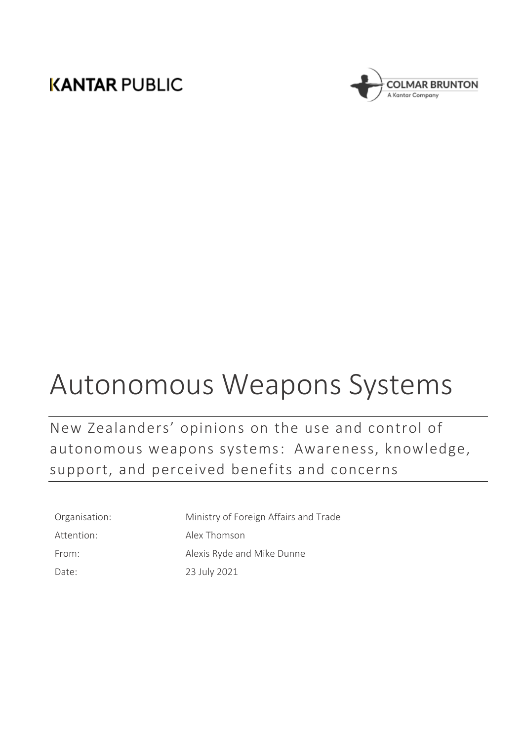# **KANTAR PUBLIC**



# Autonomous Weapons Systems

New Zealanders' opinions on the use and control of autonomous weapons systems: Awareness, knowledge, support, and perceived benefits and concerns

| Organisation: |
|---------------|
| Attention:    |
| From:         |
| Date:         |

Ministry of Foreign Affairs and Trade Alex Thomson Alexis Ryde and Mike Dunne 23 July 2021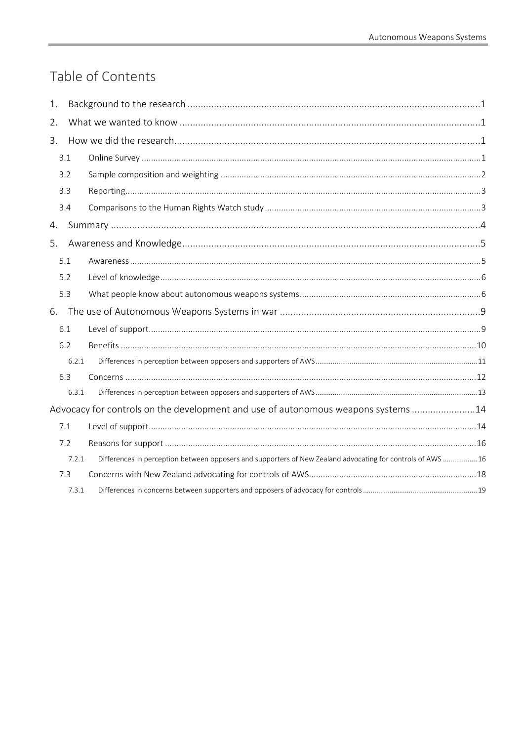# Table of Contents

| 1.                                                                                |       |                                                                                                             |  |  |  |
|-----------------------------------------------------------------------------------|-------|-------------------------------------------------------------------------------------------------------------|--|--|--|
| 2.                                                                                |       |                                                                                                             |  |  |  |
| 3.                                                                                |       |                                                                                                             |  |  |  |
|                                                                                   | 3.1   |                                                                                                             |  |  |  |
|                                                                                   | 3.2   |                                                                                                             |  |  |  |
|                                                                                   | 3.3   |                                                                                                             |  |  |  |
|                                                                                   | 3.4   |                                                                                                             |  |  |  |
| 4.                                                                                |       |                                                                                                             |  |  |  |
| 5.                                                                                |       |                                                                                                             |  |  |  |
|                                                                                   | 5.1   |                                                                                                             |  |  |  |
|                                                                                   | 5.2   |                                                                                                             |  |  |  |
|                                                                                   | 5.3   |                                                                                                             |  |  |  |
|                                                                                   |       |                                                                                                             |  |  |  |
|                                                                                   | 6.1   |                                                                                                             |  |  |  |
|                                                                                   | 6.2   |                                                                                                             |  |  |  |
|                                                                                   | 6.2.1 |                                                                                                             |  |  |  |
|                                                                                   | 6.3   |                                                                                                             |  |  |  |
|                                                                                   | 6.3.1 |                                                                                                             |  |  |  |
| Advocacy for controls on the development and use of autonomous weapons systems 14 |       |                                                                                                             |  |  |  |
|                                                                                   | 7.1   |                                                                                                             |  |  |  |
|                                                                                   | 7.2   |                                                                                                             |  |  |  |
|                                                                                   | 7.2.1 | Differences in perception between opposers and supporters of New Zealand advocating for controls of AWS  16 |  |  |  |
|                                                                                   | 7.3   |                                                                                                             |  |  |  |
|                                                                                   | 7.3.1 |                                                                                                             |  |  |  |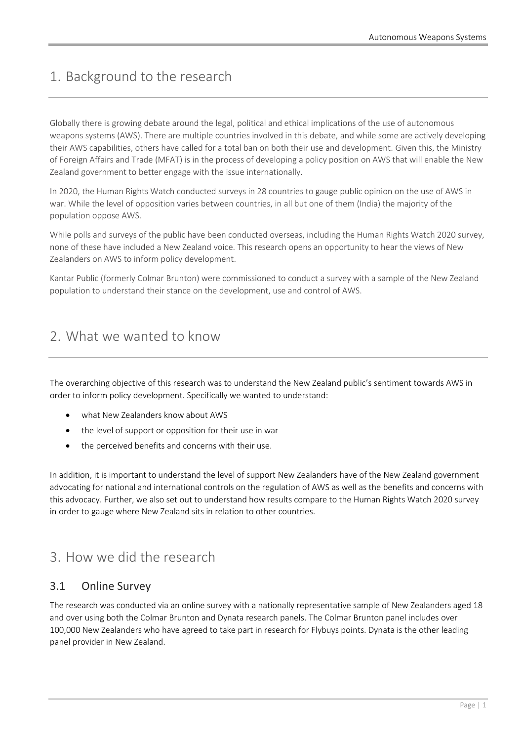# <span id="page-2-0"></span>1. Background to the research

Globally there is growing debate around the legal, political and ethical implications of the use of autonomous weapons systems (AWS). There are multiple countries involved in this debate, and while some are actively developing their AWS capabilities, others have called for a total ban on both their use and development. Given this, the Ministry of Foreign Affairs and Trade (MFAT) is in the process of developing a policy position on AWS that will enable the New Zealand government to better engage with the issue internationally.

In 2020, the Human Rights Watch conducted surveys in 28 countries to gauge public opinion on the use of AWS in war. While the level of opposition varies between countries, in all but one of them (India) the majority of the population oppose AWS.

While polls and surveys of the public have been conducted overseas, including the Human Rights Watch 2020 survey, none of these have included a New Zealand voice. This research opens an opportunity to hear the views of New Zealanders on AWS to inform policy development.

Kantar Public (formerly Colmar Brunton) were commissioned to conduct a survey with a sample of the New Zealand population to understand their stance on the development, use and control of AWS.

# <span id="page-2-1"></span>2. What we wanted to know

The overarching objective of this research was to understand the New Zealand public's sentiment towards AWS in order to inform policy development. Specifically we wanted to understand:

- what New Zealanders know about AWS
- the level of support or opposition for their use in war
- the perceived benefits and concerns with their use.

In addition, it is important to understand the level of support New Zealanders have of the New Zealand government advocating for national and international controls on the regulation of AWS as well as the benefits and concerns with this advocacy. Further, we also set out to understand how results compare to the Human Rights Watch 2020 survey in order to gauge where New Zealand sits in relation to other countries.

# <span id="page-2-2"></span>3. How we did the research

# <span id="page-2-3"></span>3.1 Online Survey

The research was conducted via an online survey with a nationally representative sample of New Zealanders aged 18 and over using both the Colmar Brunton and Dynata research panels. The Colmar Brunton panel includes over 100,000 New Zealanders who have agreed to take part in research for Flybuys points. Dynata is the other leading panel provider in New Zealand.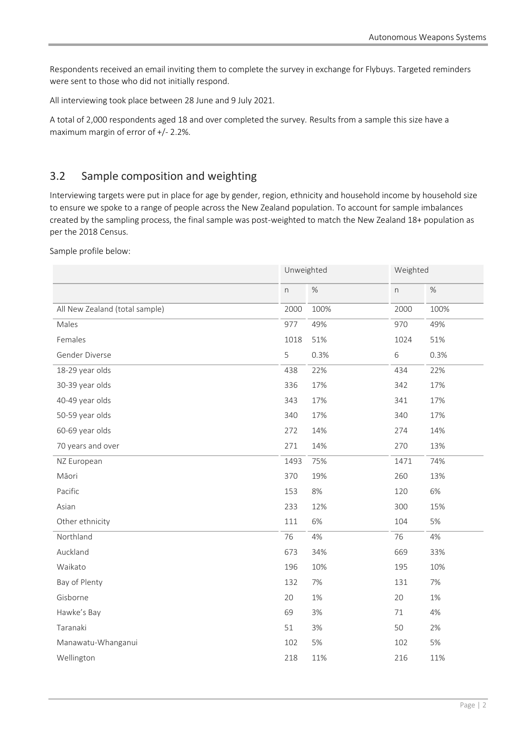Respondents received an email inviting them to complete the survey in exchange for Flybuys. Targeted reminders were sent to those who did not initially respond.

All interviewing took place between 28 June and 9 July 2021.

A total of 2,000 respondents aged 18 and over completed the survey. Results from a sample this size have a maximum margin of error of +/- 2.2%.

# <span id="page-3-0"></span>3.2 Sample composition and weighting

Interviewing targets were put in place for age by gender, region, ethnicity and household income by household size to ensure we spoke to a range of people across the New Zealand population. To account for sample imbalances created by the sampling process, the final sample was post-weighted to match the New Zealand 18+ population as per the 2018 Census.

Sample profile below:

|                                | Unweighted               |      | Weighted                  |       |
|--------------------------------|--------------------------|------|---------------------------|-------|
|                                | $\overline{\phantom{a}}$ | $\%$ | $\boldsymbol{\mathsf{n}}$ | $\%$  |
| All New Zealand (total sample) |                          | 100% | 2000                      | 100%  |
| Males<br>Females               |                          | 49%  | 970                       | 49%   |
|                                |                          | 51%  | 1024                      | 51%   |
| Gender Diverse                 | 5                        | 0.3% | $\,$ 6 $\,$               | 0.3%  |
| 18-29 year olds                | 438                      | 22%  | 434                       | 22%   |
| 30-39 year olds                | 336                      | 17%  | 342                       | 17%   |
| 40-49 year olds                | 343                      | 17%  | 341                       | 17%   |
| 50-59 year olds                | 340                      | 17%  | 340                       | 17%   |
| 60-69 year olds                | 272                      | 14%  | 274                       | 14%   |
| 70 years and over              | 271                      | 14%  | 270                       | 13%   |
| NZ European                    | 1493                     | 75%  | 1471                      | 74%   |
| Māori                          | 370                      | 19%  | 260                       | 13%   |
| Pacific                        | 153                      | 8%   | 120                       | 6%    |
| Asian                          | 233                      | 12%  | 300                       | 15%   |
| Other ethnicity                | 111                      | 6%   | 104                       | $5%$  |
| Northland                      | 76                       | 4%   | 76                        | 4%    |
| Auckland                       | 673                      | 34%  | 669                       | 33%   |
| Waikato                        | 196                      | 10%  | 195                       | 10%   |
| Bay of Plenty                  | 132                      | 7%   | 131                       | 7%    |
| Gisborne                       | 20                       | 1%   | 20                        | $1\%$ |
| Hawke's Bay                    | 69                       | 3%   | $71\,$                    | $4%$  |
| Taranaki                       | 51                       | 3%   | 50                        | 2%    |
| Manawatu-Whanganui             | 102                      | 5%   | 102                       | $5%$  |
| Wellington                     | 218                      | 11%  | 216                       | 11%   |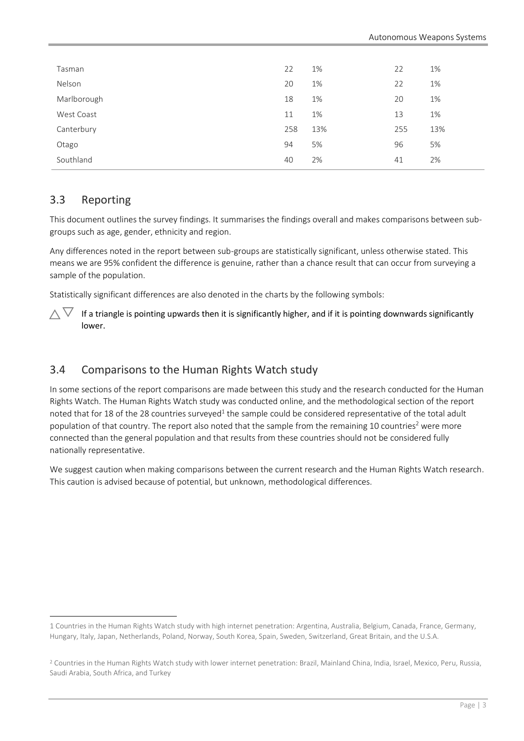| Tasman      | 22  | 1%  | 22  | 1%  |
|-------------|-----|-----|-----|-----|
| Nelson      | 20  | 1%  | 22  | 1%  |
| Marlborough | 18  | 1%  | 20  | 1%  |
| West Coast  | 11  | 1%  | 13  | 1%  |
| Canterbury  | 258 | 13% | 255 | 13% |
| Otago       | 94  | 5%  | 96  | 5%  |
| Southland   | 40  | 2%  | 41  | 2%  |
|             |     |     |     |     |

### <span id="page-4-0"></span>3.3 Reporting

This document outlines the survey findings. It summarises the findings overall and makes comparisons between subgroups such as age, gender, ethnicity and region.

Any differences noted in the report between sub-groups are statistically significant, unless otherwise stated. This means we are 95% confident the difference is genuine, rather than a chance result that can occur from surveying a sample of the population.

Statistically significant differences are also denoted in the charts by the following symbols:

 $\wedge \nabla$ If a triangle is pointing upwards then it is significantly higher, and if it is pointing downwards significantly lower.

# <span id="page-4-1"></span>3.4 Comparisons to the Human Rights Watch study

In some sections of the report comparisons are made between this study and the research conducted for the Human Rights Watch. The Human Rights Watch study was conducted online, and the methodological section of the report noted that for 18 of the 28 countries surveyed<sup>1</sup> the sample could be considered representative of the total adult population of that country. The report also noted that the sample from the remaining 10 countries<sup>2</sup> were more connected than the general population and that results from these countries should not be considered fully nationally representative.

We suggest caution when making comparisons between the current research and the Human Rights Watch research. This caution is advised because of potential, but unknown, methodological differences.

<sup>1</sup> Countries in the Human Rights Watch study with high internet penetration: Argentina, Australia, Belgium, Canada, France, Germany, Hungary, Italy, Japan, Netherlands, Poland, Norway, South Korea, Spain, Sweden, Switzerland, Great Britain, and the U.S.A.

<sup>&</sup>lt;sup>2</sup> Countries in the Human Rights Watch study with lower internet penetration: Brazil, Mainland China, India, Israel, Mexico, Peru, Russia, Saudi Arabia, South Africa, and Turkey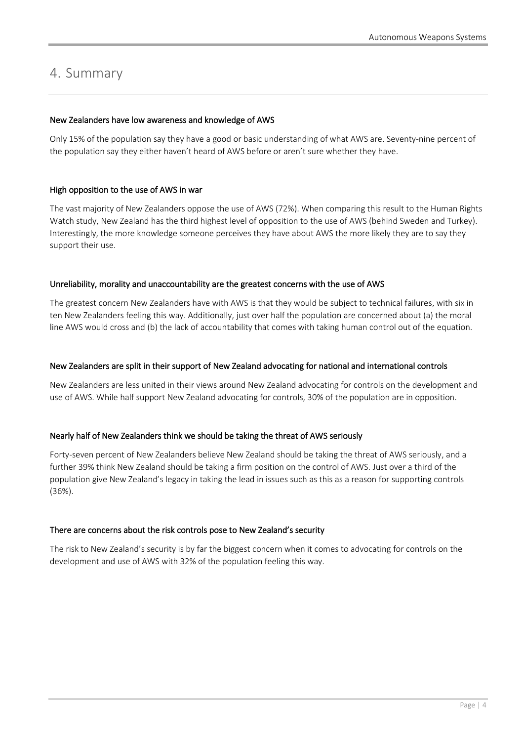# <span id="page-5-0"></span>4. Summary

#### New Zealanders have low awareness and knowledge of AWS

Only 15% of the population say they have a good or basic understanding of what AWS are. Seventy-nine percent of the population say they either haven't heard of AWS before or aren't sure whether they have.

#### High opposition to the use of AWS in war

The vast majority of New Zealanders oppose the use of AWS (72%). When comparing this result to the Human Rights Watch study, New Zealand has the third highest level of opposition to the use of AWS (behind Sweden and Turkey). Interestingly, the more knowledge someone perceives they have about AWS the more likely they are to say they support their use.

#### Unreliability, morality and unaccountability are the greatest concerns with the use of AWS

The greatest concern New Zealanders have with AWS is that they would be subject to technical failures, with six in ten New Zealanders feeling this way. Additionally, just over half the population are concerned about (a) the moral line AWS would cross and (b) the lack of accountability that comes with taking human control out of the equation.

#### New Zealanders are split in their support of New Zealand advocating for national and international controls

New Zealanders are less united in their views around New Zealand advocating for controls on the development and use of AWS. While half support New Zealand advocating for controls, 30% of the population are in opposition.

#### Nearly half of New Zealanders think we should be taking the threat of AWS seriously

Forty-seven percent of New Zealanders believe New Zealand should be taking the threat of AWS seriously, and a further 39% think New Zealand should be taking a firm position on the control of AWS. Just over a third of the population give New Zealand's legacy in taking the lead in issues such as this as a reason for supporting controls (36%).

#### There are concerns about the risk controls pose to New Zealand's security

The risk to New Zealand's security is by far the biggest concern when it comes to advocating for controls on the development and use of AWS with 32% of the population feeling this way.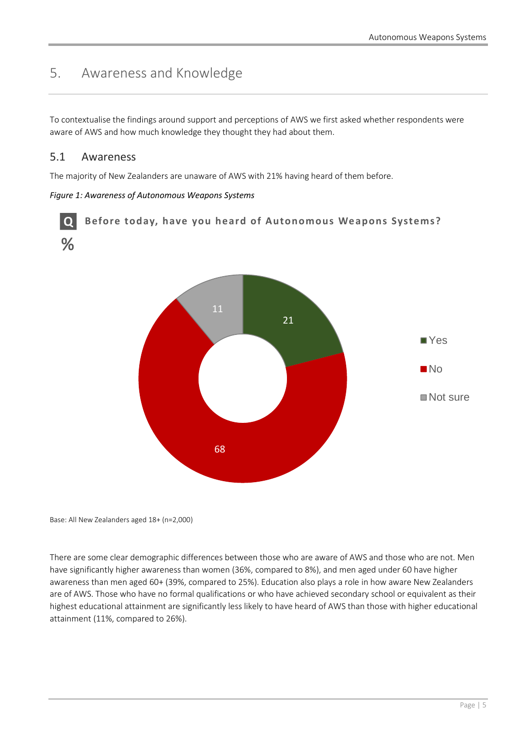# <span id="page-6-0"></span>5. Awareness and Knowledge

To contextualise the findings around support and perceptions of AWS we first asked whether respondents were aware of AWS and how much knowledge they thought they had about them.

### <span id="page-6-1"></span>5.1 Awareness

The majority of New Zealanders are unaware of AWS with 21% having heard of them before.

#### *Figure 1: Awareness of Autonomous Weapons Systems*



Base: All New Zealanders aged 18+ (n=2,000)

There are some clear demographic differences between those who are aware of AWS and those who are not. Men have significantly higher awareness than women (36%, compared to 8%), and men aged under 60 have higher awareness than men aged 60+ (39%, compared to 25%). Education also plays a role in how aware New Zealanders are of AWS. Those who have no formal qualifications or who have achieved secondary school or equivalent as their highest educational attainment are significantly less likely to have heard of AWS than those with higher educational attainment (11%, compared to 26%).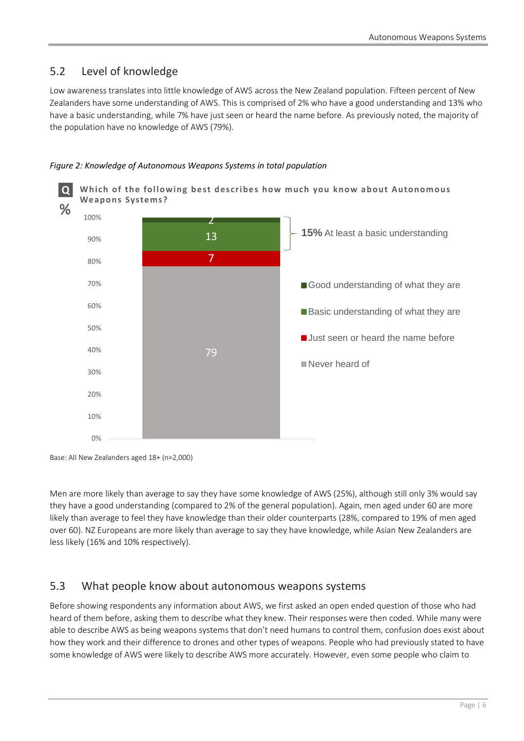# <span id="page-7-0"></span>5.2 Level of knowledge

Low awareness translates into little knowledge of AWS across the New Zealand population. Fifteen percent of New Zealanders have some understanding of AWS. This is comprised of 2% who have a good understanding and 13% who have a basic understanding, while 7% have just seen or heard the name before. As previously noted, the majority of the population have no knowledge of AWS (79%).



#### *Figure 2: Knowledge of Autonomous Weapons Systems in total population*

Men are more likely than average to say they have some knowledge of AWS (25%), although still only 3% would say they have a good understanding (compared to 2% of the general population). Again, men aged under 60 are more likely than average to feel they have knowledge than their older counterparts (28%, compared to 19% of men aged over 60). NZ Europeans are more likely than average to say they have knowledge, while Asian New Zealanders are less likely (16% and 10% respectively).

### <span id="page-7-1"></span>5.3 What people know about autonomous weapons systems

Before showing respondents any information about AWS, we first asked an open ended question of those who had heard of them before, asking them to describe what they knew. Their responses were then coded. While many were able to describe AWS as being weapons systems that don't need humans to control them, confusion does exist about how they work and their difference to drones and other types of weapons. People who had previously stated to have some knowledge of AWS were likely to describe AWS more accurately. However, even some people who claim to

Base: All New Zealanders aged 18+ (n=2,000)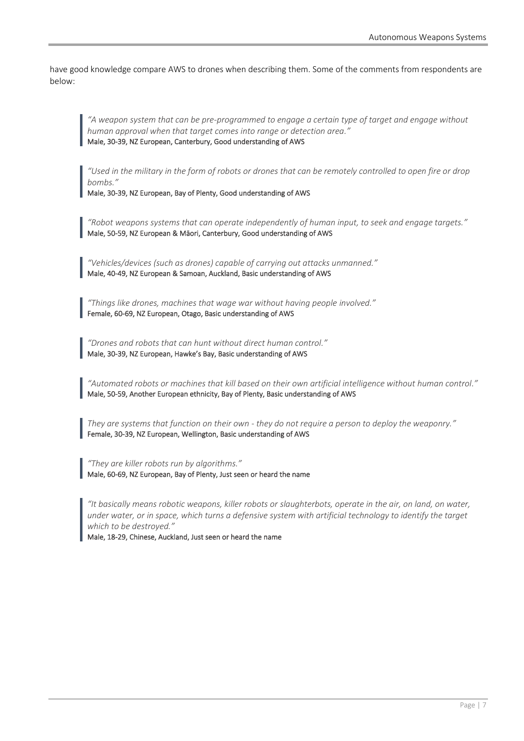have good knowledge compare AWS to drones when describing them. Some of the comments from respondents are below:

*"A weapon system that can be pre-programmed to engage a certain type of target and engage without human approval when that target comes into range or detection area."* Male, 30-39, NZ European, Canterbury, Good understanding of AWS

*"Used in the military in the form of robots or drones that can be remotely controlled to open fire or drop bombs."*

Male, 30-39, NZ European, Bay of Plenty, Good understanding of AWS

*"Robot weapons systems that can operate independently of human input, to seek and engage targets."* Male, 50-59, NZ European & Māori, Canterbury, Good understanding of AWS

*"Vehicles/devices (such as drones) capable of carrying out attacks unmanned."* Male, 40-49, NZ European & Samoan, Auckland, Basic understanding of AWS

*"Things like drones, machines that wage war without having people involved."* Female, 60-69, NZ European, Otago, Basic understanding of AWS

*"Drones and robots that can hunt without direct human control."* Male, 30-39, NZ European, Hawke's Bay, Basic understanding of AWS

*"Automated robots or machines that kill based on their own artificial intelligence without human control."* Male, 50-59, Another European ethnicity, Bay of Plenty, Basic understanding of AWS

*They are systems that function on their own - they do not require a person to deploy the weaponry."* Female, 30-39, NZ European, Wellington, Basic understanding of AWS

*"They are killer robots run by algorithms."* Male, 60-69, NZ European, Bay of Plenty, Just seen or heard the name

*"It basically means robotic weapons, killer robots or slaughterbots, operate in the air, on land, on water, under water, or in space, which turns a defensive system with artificial technology to identify the target which to be destroyed."*

Male, 18-29, Chinese, Auckland, Just seen or heard the name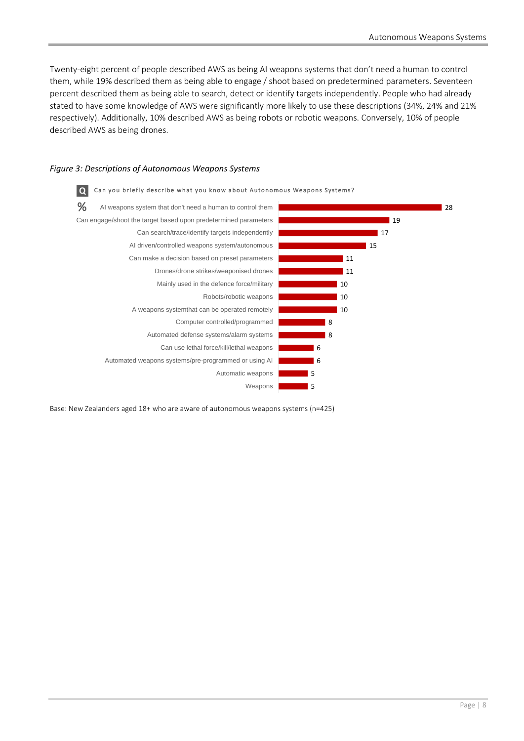Twenty-eight percent of people described AWS as being AI weapons systems that don't need a human to control them, while 19% described them as being able to engage / shoot based on predetermined parameters. Seventeen percent described them as being able to search, detect or identify targets independently. People who had already stated to have some knowledge of AWS were significantly more likely to use these descriptions (34%, 24% and 21% respectively). Additionally, 10% described AWS as being robots or robotic weapons. Conversely, 10% of people described AWS as being drones.

#### *Figure 3: Descriptions of Autonomous Weapons Systems*



Base: New Zealanders aged 18+ who are aware of autonomous weapons systems (n=425)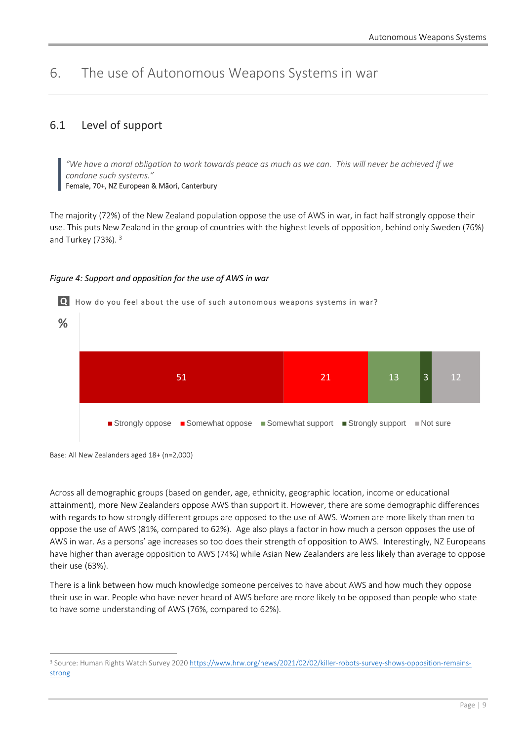# <span id="page-10-0"></span>6. The use of Autonomous Weapons Systems in war

# <span id="page-10-1"></span>6.1 Level of support

*"We have a moral obligation to work towards peace as much as we can. This will never be achieved if we condone such systems."*

Female, 70+, NZ European & Māori, Canterbury

The majority (72%) of the New Zealand population oppose the use of AWS in war, in fact half strongly oppose their use. This puts New Zealand in the group of countries with the highest levels of opposition, behind only Sweden (76%) and Turkey (73%). <sup>3</sup>

#### *Figure 4: Support and opposition for the use of AWS in war*



Base: All New Zealanders aged 18+ (n=2,000)

Across all demographic groups (based on gender, age, ethnicity, geographic location, income or educational attainment), more New Zealanders oppose AWS than support it. However, there are some demographic differences with regards to how strongly different groups are opposed to the use of AWS. Women are more likely than men to oppose the use of AWS (81%, compared to 62%). Age also plays a factor in how much a person opposes the use of AWS in war. As a persons' age increases so too does their strength of opposition to AWS. Interestingly, NZ Europeans have higher than average opposition to AWS (74%) while Asian New Zealanders are less likely than average to oppose their use (63%).

There is a link between how much knowledge someone perceives to have about AWS and how much they oppose their use in war. People who have never heard of AWS before are more likely to be opposed than people who state to have some understanding of AWS (76%, compared to 62%).

<sup>&</sup>lt;sup>3</sup> Source: Human Rights Watch Survey 202[0 https://www.hrw.org/news/2021/02/02/killer-robots-survey-shows-opposition-remains](https://www.hrw.org/news/2021/02/02/killer-robots-survey-shows-opposition-remains-strong)[strong](https://www.hrw.org/news/2021/02/02/killer-robots-survey-shows-opposition-remains-strong)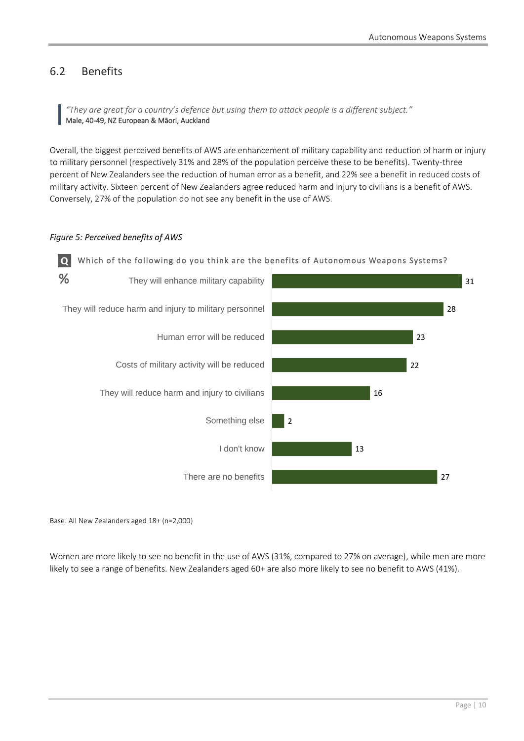# <span id="page-11-0"></span>6.2 Benefits

*"They are great for a country's defence but using them to attack people is a different subject."* Male, 40-49, NZ European & Māori, Auckland

Overall, the biggest perceived benefits of AWS are enhancement of military capability and reduction of harm or injury to military personnel (respectively 31% and 28% of the population perceive these to be benefits). Twenty-three percent of New Zealanders see the reduction of human error as a benefit, and 22% see a benefit in reduced costs of military activity. Sixteen percent of New Zealanders agree reduced harm and injury to civilians is a benefit of AWS. Conversely, 27% of the population do not see any benefit in the use of AWS.

#### *Figure 5: Perceived benefits of AWS*



Base: All New Zealanders aged 18+ (n=2,000)

Women are more likely to see no benefit in the use of AWS (31%, compared to 27% on average), while men are more likely to see a range of benefits. New Zealanders aged 60+ are also more likely to see no benefit to AWS (41%).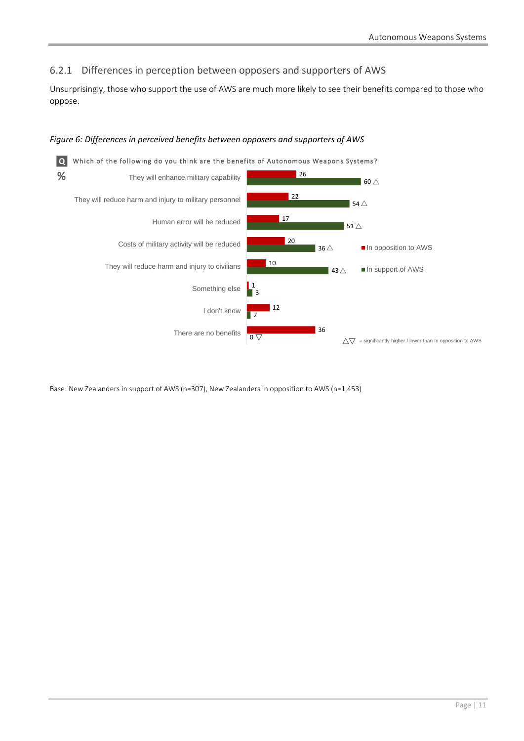### <span id="page-12-0"></span>6.2.1 Differences in perception between opposers and supporters of AWS

Unsurprisingly, those who support the use of AWS are much more likely to see their benefits compared to those who oppose.

#### *Figure 6: Differences in perceived benefits between opposers and supporters of AWS*



Base: New Zealanders in support of AWS (n=307), New Zealanders in opposition to AWS (n=1,453)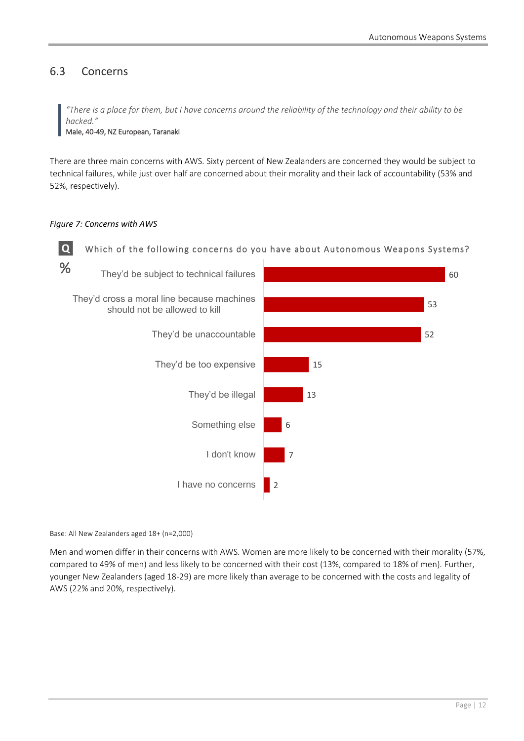60

# <span id="page-13-0"></span>6.3 Concerns

*"There is a place for them, but I have concerns around the reliability of the technology and their ability to be hacked."*

Male, 40-49, NZ European, Taranaki

There are three main concerns with AWS. Sixty percent of New Zealanders are concerned they would be subject to technical failures, while just over half are concerned about their morality and their lack of accountability (53% and 52%, respectively).

#### *Figure 7: Concerns with AWS*



**Q** Which of the following concerns do you have about Autonomous Weapons Systems?

They'd cross a moral line because machines They'd be subject to technical failures



Base: All New Zealanders aged 18+ (n=2,000)

Men and women differ in their concerns with AWS. Women are more likely to be concerned with their morality (57%, compared to 49% of men) and less likely to be concerned with their cost (13%, compared to 18% of men). Further, younger New Zealanders (aged 18-29) are more likely than average to be concerned with the costs and legality of AWS (22% and 20%, respectively).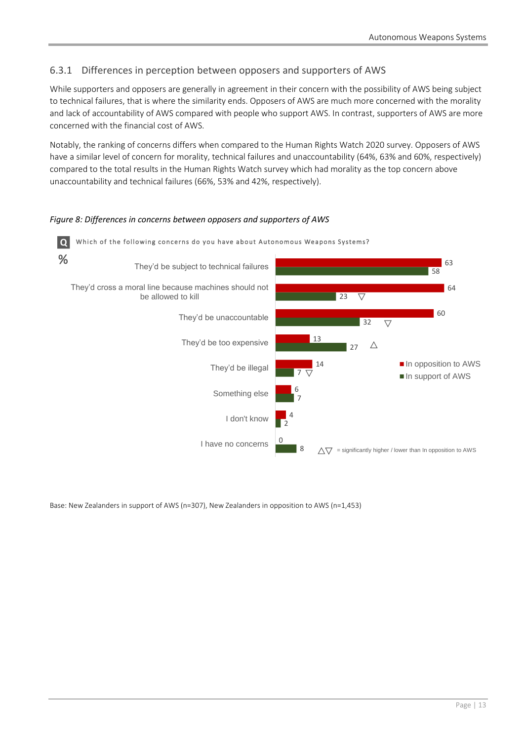### <span id="page-14-0"></span>6.3.1 Differences in perception between opposers and supporters of AWS

While supporters and opposers are generally in agreement in their concern with the possibility of AWS being subject to technical failures, that is where the similarity ends. Opposers of AWS are much more concerned with the morality and lack of accountability of AWS compared with people who support AWS. In contrast, supporters of AWS are more concerned with the financial cost of AWS.

Notably, the ranking of concerns differs when compared to the Human Rights Watch 2020 survey. Opposers of AWS have a similar level of concern for morality, technical failures and unaccountability (64%, 63% and 60%, respectively) compared to the total results in the Human Rights Watch survey which had morality as the top concern above unaccountability and technical failures (66%, 53% and 42%, respectively).



*Figure 8: Differences in concerns between opposers and supporters of AWS*

Base: New Zealanders in support of AWS (n=307), New Zealanders in opposition to AWS (n=1,453)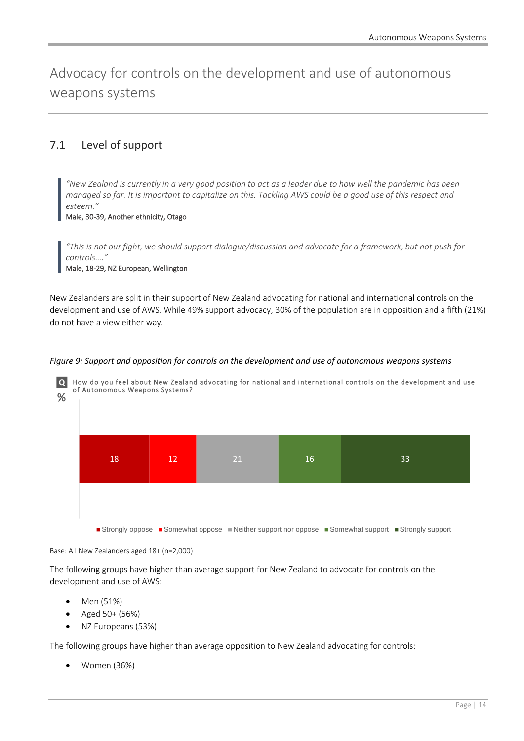<span id="page-15-0"></span>Advocacy for controls on the development and use of autonomous weapons systems

# <span id="page-15-1"></span>7.1 Level of support

*"New Zealand is currently in a very good position to act as a leader due to how well the pandemic has been managed so far. It is important to capitalize on this. Tackling AWS could be a good use of this respect and esteem."*

Male, 30-39, Another ethnicity, Otago

*"This is not our fight, we should support dialogue/discussion and advocate for a framework, but not push for controls…."*

Male, 18-29, NZ European, Wellington

New Zealanders are split in their support of New Zealand advocating for national and international controls on the development and use of AWS. While 49% support advocacy, 30% of the population are in opposition and a fifth (21%) do not have a view either way.



*Figure 9: Support and opposition for controls on the development and use of autonomous weapons systems*

Base: All New Zealanders aged 18+ (n=2,000)

The following groups have higher than average support for New Zealand to advocate for controls on the development and use of AWS:

- Men (51%)
- Aged 50+ (56%)
- NZ Europeans (53%)

The following groups have higher than average opposition to New Zealand advocating for controls:

• Women (36%)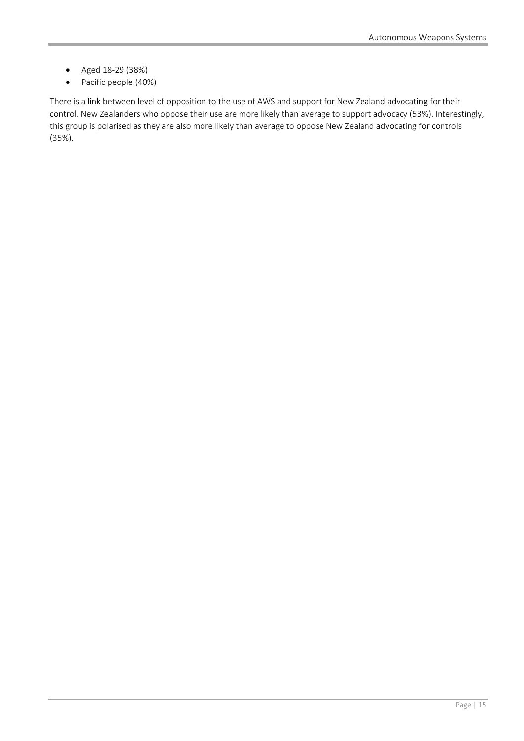- Aged 18-29 (38%)
- Pacific people (40%)

There is a link between level of opposition to the use of AWS and support for New Zealand advocating for their control. New Zealanders who oppose their use are more likely than average to support advocacy (53%). Interestingly, this group is polarised as they are also more likely than average to oppose New Zealand advocating for controls (35%).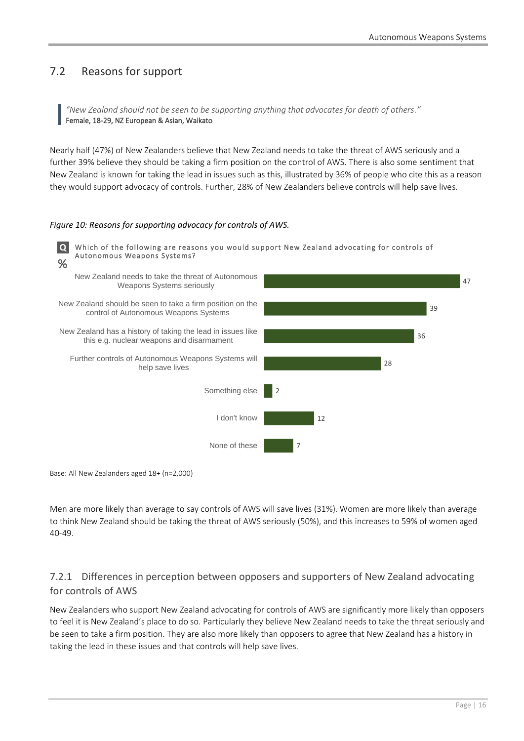# <span id="page-17-0"></span>7.2 Reasons for support

*"New Zealand should not be seen to be supporting anything that advocates for death of others."* Female, 18-29, NZ European & Asian, Waikato

Nearly half (47%) of New Zealanders believe that New Zealand needs to take the threat of AWS seriously and a further 39% believe they should be taking a firm position on the control of AWS. There is also some sentiment that New Zealand is known for taking the lead in issues such as this, illustrated by 36% of people who cite this as a reason they would support advocacy of controls. Further, 28% of New Zealanders believe controls will help save lives.

#### *Figure 10: Reasons for supporting advocacy for controls of AWS.*



Base: All New Zealanders aged 18+ (n=2,000)

Men are more likely than average to say controls of AWS will save lives (31%). Women are more likely than average to think New Zealand should be taking the threat of AWS seriously (50%), and this increases to 59% of women aged 40-49.

### <span id="page-17-1"></span>7.2.1 Differences in perception between opposers and supporters of New Zealand advocating for controls of AWS

New Zealanders who support New Zealand advocating for controls of AWS are significantly more likely than opposers to feel it is New Zealand's place to do so. Particularly they believe New Zealand needs to take the threat seriously and be seen to take a firm position. They are also more likely than opposers to agree that New Zealand has a history in taking the lead in these issues and that controls will help save lives.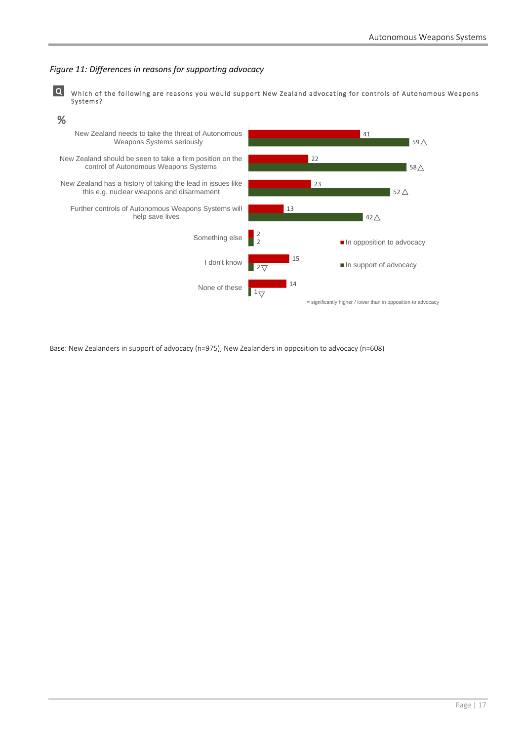#### *Figure 11: Differences in reasons for supporting advocacy*

**Q** Which of the following are reasons you would support New Zealand advocating for controls of Autonomous Weapons Systems?



Base: New Zealanders in support of advocacy (n=975), New Zealanders in opposition to advocacy (n=608)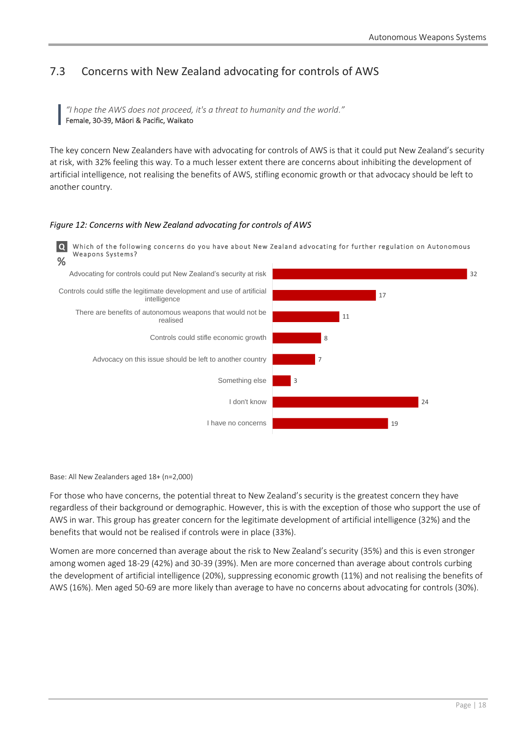# <span id="page-19-0"></span>7.3 Concerns with New Zealand advocating for controls of AWS

*"I hope the AWS does not proceed, it's a threat to humanity and the world."* Female, 30-39, Māori & Pacific, Waikato

The key concern New Zealanders have with advocating for controls of AWS is that it could put New Zealand's security at risk, with 32% feeling this way. To a much lesser extent there are concerns about inhibiting the development of artificial intelligence, not realising the benefits of AWS, stifling economic growth or that advocacy should be left to another country.

#### *Figure 12: Concerns with New Zealand advocating for controls of AWS*



Base: All New Zealanders aged 18+ (n=2,000)

For those who have concerns, the potential threat to New Zealand's security is the greatest concern they have regardless of their background or demographic. However, this is with the exception of those who support the use of AWS in war. This group has greater concern for the legitimate development of artificial intelligence (32%) and the benefits that would not be realised if controls were in place (33%).

Women are more concerned than average about the risk to New Zealand's security (35%) and this is even stronger among women aged 18-29 (42%) and 30-39 (39%). Men are more concerned than average about controls curbing the development of artificial intelligence (20%), suppressing economic growth (11%) and not realising the benefits of AWS (16%). Men aged 50-69 are more likely than average to have no concerns about advocating for controls (30%).